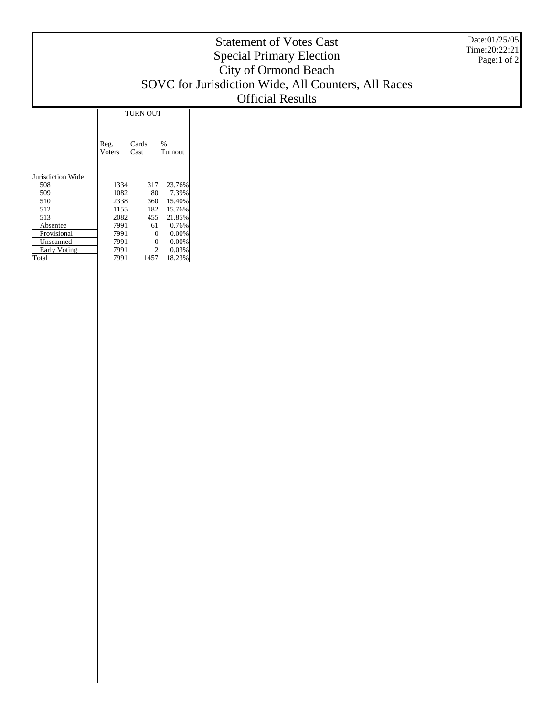## Statement of Votes Cast Special Primary Election City of Ormond Beach SOVC for Jurisdiction Wide, All Counters, All Races Official Results Date:01/25/05 Time:20:22:21 Page:1 of 2 Jurisdiction Wide 508 509 510 512 513 Absentee Provisional Unscanned Early Voting Reg. Voters Cards Cast  $\%$ Turnout TURN OUT 1334 317 23.76% 1082 80 7.39%<br>2338 360 15.40% 2338 360 15.40% 1155 182 15.76%<br>2082 455 21.85% 2082 455 21.85% 7991 61 0.76% 7991 0 0.00% 7991 0 0.00% 7991 2 0.03%

18.23%

**Total**